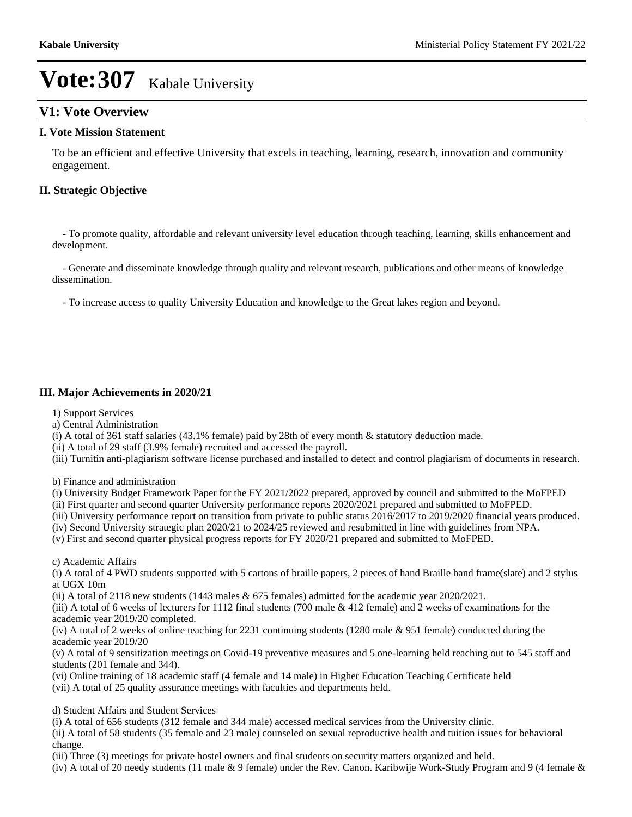## **V1: Vote Overview**

#### **I. Vote Mission Statement**

To be an efficient and effective University that excels in teaching, learning, research, innovation and community engagement.

### **II. Strategic Objective**

 - To promote quality, affordable and relevant university level education through teaching, learning, skills enhancement and development.

 - Generate and disseminate knowledge through quality and relevant research, publications and other means of knowledge dissemination.

- To increase access to quality University Education and knowledge to the Great lakes region and beyond.

### **III. Major Achievements in 2020/21**

1) Support Services

a) Central Administration

(i) A total of 361 staff salaries (43.1% female) paid by 28th of every month & statutory deduction made.

(ii) A total of 29 staff (3.9% female) recruited and accessed the payroll.

(iii) Turnitin anti-plagiarism software license purchased and installed to detect and control plagiarism of documents in research.

b) Finance and administration

(i) University Budget Framework Paper for the FY 2021/2022 prepared, approved by council and submitted to the MoFPED

(ii) First quarter and second quarter University performance reports 2020/2021 prepared and submitted to MoFPED.

(iii) University performance report on transition from private to public status 2016/2017 to 2019/2020 financial years produced.

(iv) Second University strategic plan 2020/21 to 2024/25 reviewed and resubmitted in line with guidelines from NPA.

(v) First and second quarter physical progress reports for FY 2020/21 prepared and submitted to MoFPED.

c) Academic Affairs

(i) A total of 4 PWD students supported with 5 cartons of braille papers, 2 pieces of hand Braille hand frame(slate) and 2 stylus at UGX 10m

(ii) A total of 2118 new students (1443 males & 675 females) admitted for the academic year 2020/2021.

(iii) A total of 6 weeks of lecturers for 1112 final students (700 male & 412 female) and 2 weeks of examinations for the academic year 2019/20 completed.

(iv) A total of 2 weeks of online teaching for 2231 continuing students (1280 male & 951 female) conducted during the academic year 2019/20

(v) A total of 9 sensitization meetings on Covid-19 preventive measures and 5 one-learning held reaching out to 545 staff and students (201 female and 344).

(vi) Online training of 18 academic staff (4 female and 14 male) in Higher Education Teaching Certificate held (vii) A total of 25 quality assurance meetings with faculties and departments held.

d) Student Affairs and Student Services

(i) A total of 656 students (312 female and 344 male) accessed medical services from the University clinic.

(ii) A total of 58 students (35 female and 23 male) counseled on sexual reproductive health and tuition issues for behavioral change.

(iii) Three (3) meetings for private hostel owners and final students on security matters organized and held.

(iv) A total of 20 needy students (11 male & 9 female) under the Rev. Canon. Karibwije Work-Study Program and 9 (4 female &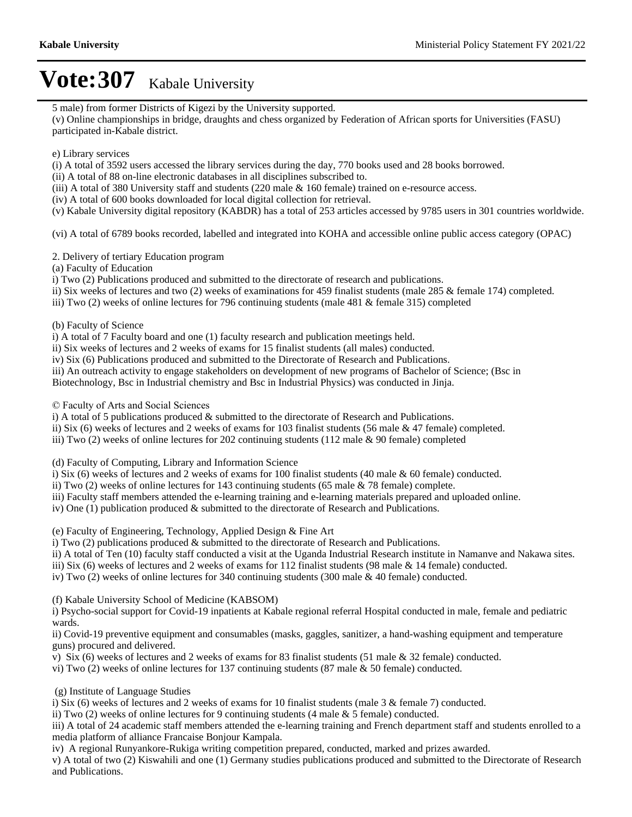5 male) from former Districts of Kigezi by the University supported.

(v) Online championships in bridge, draughts and chess organized by Federation of African sports for Universities (FASU) participated in-Kabale district.

#### e) Library services

(i) A total of 3592 users accessed the library services during the day, 770 books used and 28 books borrowed.

(ii) A total of 88 on-line electronic databases in all disciplines subscribed to.

(iii) A total of 380 University staff and students (220 male & 160 female) trained on e-resource access.

(iv) A total of 600 books downloaded for local digital collection for retrieval.

(v) Kabale University digital repository (KABDR) has a total of 253 articles accessed by 9785 users in 301 countries worldwide.

(vi) A total of 6789 books recorded, labelled and integrated into KOHA and accessible online public access category (OPAC)

2. Delivery of tertiary Education program

(a) Faculty of Education

i) Two (2) Publications produced and submitted to the directorate of research and publications.

ii) Six weeks of lectures and two (2) weeks of examinations for 459 finalist students (male 285 & female 174) completed.

iii) Two (2) weeks of online lectures for 796 continuing students (male 481 & female 315) completed

(b) Faculty of Science

i) A total of 7 Faculty board and one (1) faculty research and publication meetings held.

ii) Six weeks of lectures and 2 weeks of exams for 15 finalist students (all males) conducted.

iv) Six (6) Publications produced and submitted to the Directorate of Research and Publications.

iii) An outreach activity to engage stakeholders on development of new programs of Bachelor of Science; (Bsc in

Biotechnology, Bsc in Industrial chemistry and Bsc in Industrial Physics) was conducted in Jinja.

 $\odot$  Faculty of Arts and Social Sciences

i) A total of 5 publications produced & submitted to the directorate of Research and Publications.

ii) Six (6) weeks of lectures and 2 weeks of exams for 103 finalist students (56 male & 47 female) completed.

iii) Two  $(2)$  weeks of online lectures for 202 continuing students  $(112 \text{ male } \& 90 \text{ female})$  completed

(d) Faculty of Computing, Library and Information Science

i) Six (6) weeks of lectures and 2 weeks of exams for 100 finalist students (40 male & 60 female) conducted.

ii) Two (2) weeks of online lectures for 143 continuing students (65 male & 78 female) complete.

iii) Faculty staff members attended the e-learning training and e-learning materials prepared and uploaded online.

iv) One (1) publication produced & submitted to the directorate of Research and Publications.

(e) Faculty of Engineering, Technology, Applied Design & Fine Art

i) Two  $(2)$  publications produced  $\&$  submitted to the directorate of Research and Publications.

ii) A total of Ten (10) faculty staff conducted a visit at the Uganda Industrial Research institute in Namanve and Nakawa sites.

iii) Six (6) weeks of lectures and 2 weeks of exams for 112 finalist students (98 male & 14 female) conducted.

iv) Two (2) weeks of online lectures for 340 continuing students (300 male & 40 female) conducted.

(f) Kabale University School of Medicine (KABSOM)

i) Psycho-social support for Covid-19 inpatients at Kabale regional referral Hospital conducted in male, female and pediatric wards.

ii) Covid-19 preventive equipment and consumables (masks, gaggles, sanitizer, a hand-washing equipment and temperature guns) procured and delivered.

v) Six (6) weeks of lectures and 2 weeks of exams for 83 finalist students (51 male  $\&$  32 female) conducted.

vi) Two (2) weeks of online lectures for 137 continuing students (87 male & 50 female) conducted.

(g) Institute of Language Studies

i) Six (6) weeks of lectures and 2 weeks of exams for 10 finalist students (male  $3 \&$  female  $7$ ) conducted.

ii) Two  $(2)$  weeks of online lectures for 9 continuing students  $(4 \text{ male } \& 5 \text{ female})$  conducted.

iii) A total of 24 academic staff members attended the e-learning training and French department staff and students enrolled to a media platform of alliance Francaise Bonjour Kampala.

iv) A regional Runyankore-Rukiga writing competition prepared, conducted, marked and prizes awarded.

v) A total of two (2) Kiswahili and one (1) Germany studies publications produced and submitted to the Directorate of Research and Publications.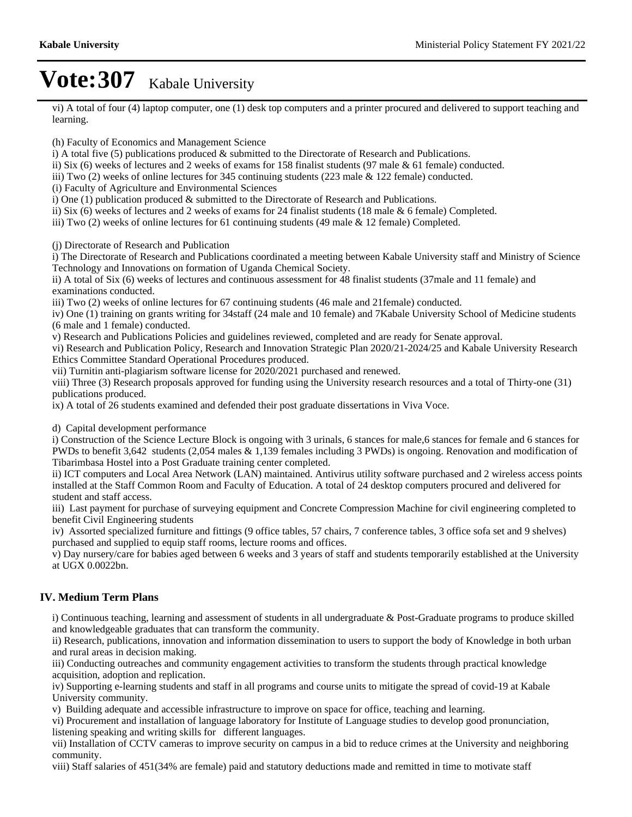vi) A total of four (4) laptop computer, one (1) desk top computers and a printer procured and delivered to support teaching and learning.

(h) Faculty of Economics and Management Science

i) A total five (5) publications produced & submitted to the Directorate of Research and Publications.

ii) Six (6) weeks of lectures and 2 weeks of exams for 158 finalist students (97 male & 61 female) conducted.

iii) Two (2) weeks of online lectures for 345 continuing students (223 male & 122 female) conducted.

(i) Faculty of Agriculture and Environmental Sciences

i) One (1) publication produced  $&$  submitted to the Directorate of Research and Publications.

ii) Six (6) weeks of lectures and 2 weeks of exams for 24 finalist students (18 male & 6 female) Completed.

iii) Two (2) weeks of online lectures for 61 continuing students (49 male & 12 female) Completed.

(j) Directorate of Research and Publication

i) The Directorate of Research and Publications coordinated a meeting between Kabale University staff and Ministry of Science Technology and Innovations on formation of Uganda Chemical Society.

ii) A total of Six (6) weeks of lectures and continuous assessment for 48 finalist students (37male and 11 female) and examinations conducted.

iii) Two (2) weeks of online lectures for 67 continuing students (46 male and 21female) conducted.

iv) One (1) training on grants writing for 34staff (24 male and 10 female) and 7Kabale University School of Medicine students (6 male and 1 female) conducted.

v) Research and Publications Policies and guidelines reviewed, completed and are ready for Senate approval.

vi) Research and Publication Policy, Research and Innovation Strategic Plan 2020/21-2024/25 and Kabale University Research Ethics Committee Standard Operational Procedures produced.

vii) Turnitin anti-plagiarism software license for 2020/2021 purchased and renewed.

viii) Three (3) Research proposals approved for funding using the University research resources and a total of Thirty-one (31) publications produced.

ix) A total of 26 students examined and defended their post graduate dissertations in Viva Voce.

d) Capital development performance

i) Construction of the Science Lecture Block is ongoing with 3 urinals, 6 stances for male,6 stances for female and 6 stances for PWDs to benefit 3,642 students (2,054 males & 1,139 females including 3 PWDs) is ongoing. Renovation and modification of Tibarimbasa Hostel into a Post Graduate training center completed.

ii) ICT computers and Local Area Network (LAN) maintained. Antivirus utility software purchased and 2 wireless access points installed at the Staff Common Room and Faculty of Education. A total of 24 desktop computers procured and delivered for student and staff access.

iii) Last payment for purchase of surveying equipment and Concrete Compression Machine for civil engineering completed to benefit Civil Engineering students

iv) Assorted specialized furniture and fittings (9 office tables, 57 chairs, 7 conference tables, 3 office sofa set and 9 shelves) purchased and supplied to equip staff rooms, lecture rooms and offices.

v) Day nursery/care for babies aged between 6 weeks and 3 years of staff and students temporarily established at the University at UGX 0.0022bn.

#### **IV. Medium Term Plans**

i) Continuous teaching, learning and assessment of students in all undergraduate & Post-Graduate programs to produce skilled and knowledgeable graduates that can transform the community.

ii) Research, publications, innovation and information dissemination to users to support the body of Knowledge in both urban and rural areas in decision making.

iii) Conducting outreaches and community engagement activities to transform the students through practical knowledge acquisition, adoption and replication.

iv) Supporting e-learning students and staff in all programs and course units to mitigate the spread of covid-19 at Kabale University community.

v) Building adequate and accessible infrastructure to improve on space for office, teaching and learning.

vi) Procurement and installation of language laboratory for Institute of Language studies to develop good pronunciation, listening speaking and writing skills for different languages.

vii) Installation of CCTV cameras to improve security on campus in a bid to reduce crimes at the University and neighboring community.

viii) Staff salaries of 451(34% are female) paid and statutory deductions made and remitted in time to motivate staff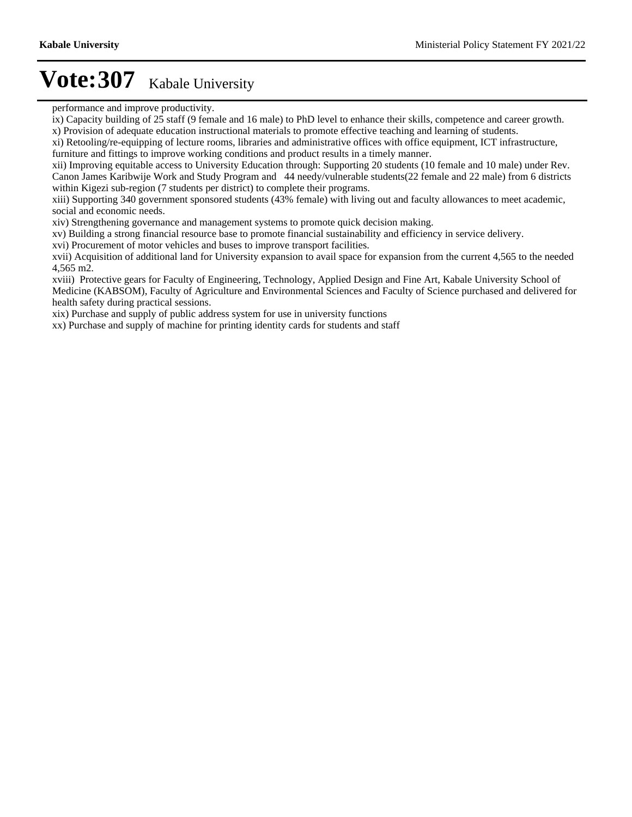performance and improve productivity.

 $\hat{i}$ x) Capacity building of 25 staff (9 female and 16 male) to PhD level to enhance their skills, competence and career growth.

x) Provision of adequate education instructional materials to promote effective teaching and learning of students.

xi) Retooling/re-equipping of lecture rooms, libraries and administrative offices with office equipment, ICT infrastructure, furniture and fittings to improve working conditions and product results in a timely manner.

xii) Improving equitable access to University Education through: Supporting 20 students (10 female and 10 male) under Rev. Canon James Karibwije Work and Study Program and 44 needy/vulnerable students(22 female and 22 male) from 6 districts within Kigezi sub-region (7 students per district) to complete their programs.

xiii) Supporting 340 government sponsored students (43% female) with living out and faculty allowances to meet academic, social and economic needs.

xiv) Strengthening governance and management systems to promote quick decision making.

xv) Building a strong financial resource base to promote financial sustainability and efficiency in service delivery.

xvi) Procurement of motor vehicles and buses to improve transport facilities.

xvii) Acquisition of additional land for University expansion to avail space for expansion from the current 4,565 to the needed 4,565 m2.

xviii) Protective gears for Faculty of Engineering, Technology, Applied Design and Fine Art, Kabale University School of Medicine (KABSOM), Faculty of Agriculture and Environmental Sciences and Faculty of Science purchased and delivered for health safety during practical sessions.

xix) Purchase and supply of public address system for use in university functions

xx) Purchase and supply of machine for printing identity cards for students and staff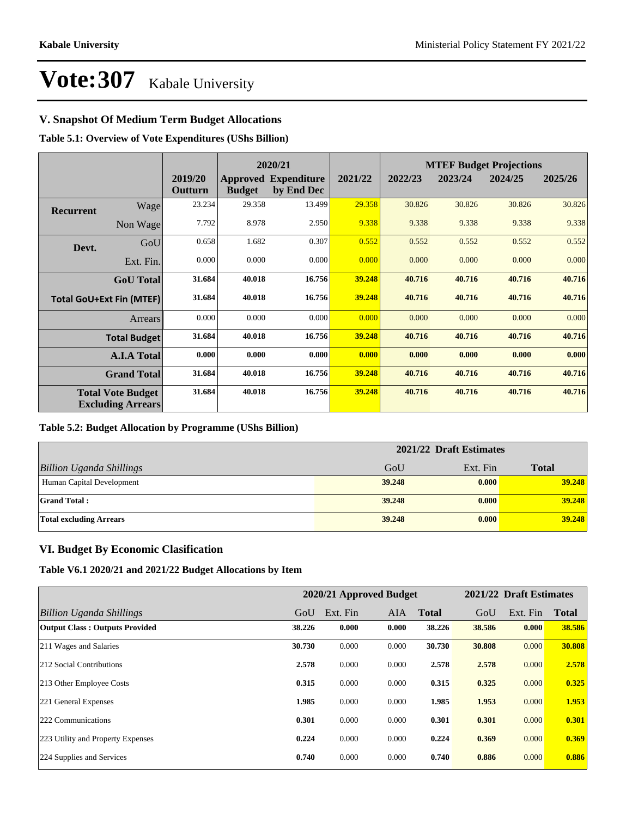## **V. Snapshot Of Medium Term Budget Allocations**

**Table 5.1: Overview of Vote Expenditures (UShs Billion)**

|                  |                                                      |                    |               | 2020/21                                   |         |         |         | <b>MTEF Budget Projections</b> |         |
|------------------|------------------------------------------------------|--------------------|---------------|-------------------------------------------|---------|---------|---------|--------------------------------|---------|
|                  |                                                      | 2019/20<br>Outturn | <b>Budget</b> | <b>Approved Expenditure</b><br>by End Dec | 2021/22 | 2022/23 | 2023/24 | 2024/25                        | 2025/26 |
| <b>Recurrent</b> | Wage                                                 | 23.234             | 29.358        | 13.499                                    | 29.358  | 30.826  | 30.826  | 30.826                         | 30.826  |
|                  | Non Wage                                             | 7.792              | 8.978         | 2.950                                     | 9.338   | 9.338   | 9.338   | 9.338                          | 9.338   |
| Devt.            | GoU                                                  | 0.658              | 1.682         | 0.307                                     | 0.552   | 0.552   | 0.552   | 0.552                          | 0.552   |
|                  | Ext. Fin.                                            | 0.000              | 0.000         | 0.000                                     | 0.000   | 0.000   | 0.000   | 0.000                          | 0.000   |
|                  | <b>GoU</b> Total                                     | 31.684             | 40.018        | 16.756                                    | 39.248  | 40.716  | 40.716  | 40.716                         | 40.716  |
|                  | <b>Total GoU+Ext Fin (MTEF)</b>                      | 31.684             | 40.018        | 16.756                                    | 39.248  | 40.716  | 40.716  | 40.716                         | 40.716  |
|                  | Arrears                                              | 0.000              | 0.000         | 0.000                                     | 0.000   | 0.000   | 0.000   | 0.000                          | 0.000   |
|                  | <b>Total Budget</b>                                  | 31.684             | 40.018        | 16.756                                    | 39.248  | 40.716  | 40.716  | 40.716                         | 40.716  |
|                  | <b>A.I.A Total</b>                                   | 0.000              | 0.000         | 0.000                                     | 0.000   | 0.000   | 0.000   | 0.000                          | 0.000   |
|                  | <b>Grand Total</b>                                   | 31.684             | 40.018        | 16.756                                    | 39.248  | 40.716  | 40.716  | 40.716                         | 40.716  |
|                  | <b>Total Vote Budget</b><br><b>Excluding Arrears</b> | 31.684             | 40.018        | 16.756                                    | 39.248  | 40.716  | 40.716  | 40.716                         | 40.716  |

#### **Table 5.2: Budget Allocation by Programme (UShs Billion)**

|                                 |        | 2021/22 Draft Estimates |              |
|---------------------------------|--------|-------------------------|--------------|
| <b>Billion Uganda Shillings</b> | GoU    | Ext. Fin                | <b>Total</b> |
| Human Capital Development       | 39,248 | 0.000                   | 39.248       |
| <b>Grand Total:</b>             | 39,248 | 0.000                   | 39.248       |
| <b>Total excluding Arrears</b>  | 39.248 | 0.000                   | 39.248       |

### **VI. Budget By Economic Clasification**

**Table V6.1 2020/21 and 2021/22 Budget Allocations by Item**

|                                       |        | 2020/21 Approved Budget |            |              |        | 2021/22 Draft Estimates |              |
|---------------------------------------|--------|-------------------------|------------|--------------|--------|-------------------------|--------------|
| Billion Uganda Shillings              | GoU    | Ext. Fin                | <b>AIA</b> | <b>Total</b> | GoU    | Ext. Fin                | <b>Total</b> |
| <b>Output Class: Outputs Provided</b> | 38.226 | 0.000                   | 0.000      | 38.226       | 38.586 | 0.000                   | 38.586       |
| 211 Wages and Salaries                | 30.730 | 0.000                   | 0.000      | 30.730       | 30.808 | 0.000                   | 30.808       |
| 212 Social Contributions              | 2.578  | 0.000                   | 0.000      | 2.578        | 2.578  | 0.000                   | 2.578        |
| 213 Other Employee Costs              | 0.315  | 0.000                   | 0.000      | 0.315        | 0.325  | 0.000                   | 0.325        |
| 221 General Expenses                  | 1.985  | 0.000                   | 0.000      | 1.985        | 1.953  | 0.000                   | 1.953        |
| 222 Communications                    | 0.301  | 0.000                   | 0.000      | 0.301        | 0.301  | 0.000                   | 0.301        |
| 223 Utility and Property Expenses     | 0.224  | 0.000                   | 0.000      | 0.224        | 0.369  | 0.000                   | 0.369        |
| 224 Supplies and Services             | 0.740  | 0.000                   | 0.000      | 0.740        | 0.886  | 0.000                   | 0.886        |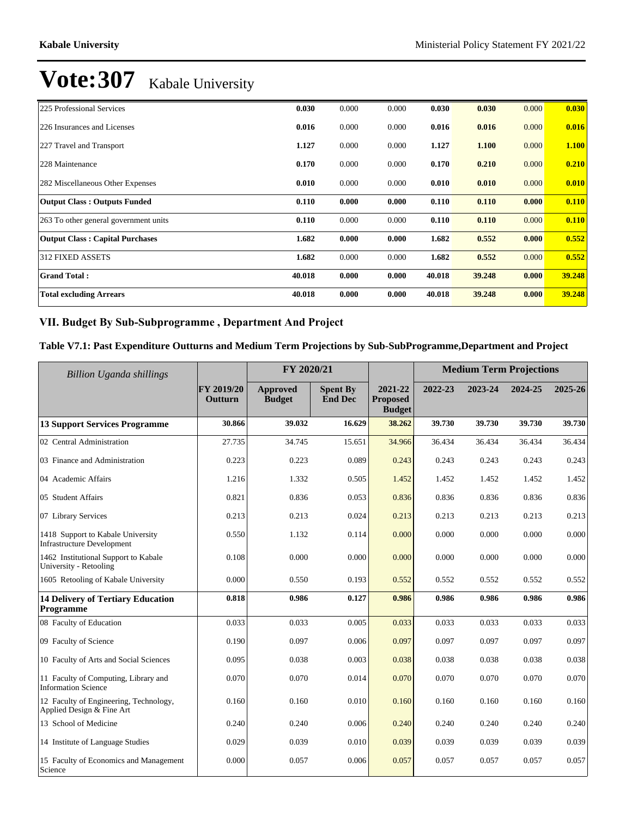| 225 Professional Services              | 0.030  | 0.000 | 0.000 | 0.030  | 0.030  | 0.000 | 0.030        |
|----------------------------------------|--------|-------|-------|--------|--------|-------|--------------|
| 226 Insurances and Licenses            | 0.016  | 0.000 | 0.000 | 0.016  | 0.016  | 0.000 | 0.016        |
| 227 Travel and Transport               | 1.127  | 0.000 | 0.000 | 1.127  | 1.100  | 0.000 | <b>1.100</b> |
| 228 Maintenance                        | 0.170  | 0.000 | 0.000 | 0.170  | 0.210  | 0.000 | 0.210        |
| 282 Miscellaneous Other Expenses       | 0.010  | 0.000 | 0.000 | 0.010  | 0.010  | 0.000 | 0.010        |
| <b>Output Class: Outputs Funded</b>    | 0.110  | 0.000 | 0.000 | 0.110  | 0.110  | 0.000 | 0.110        |
| 263 To other general government units  | 0.110  | 0.000 | 0.000 | 0.110  | 0.110  | 0.000 | 0.110        |
| <b>Output Class: Capital Purchases</b> | 1.682  | 0.000 | 0.000 | 1.682  | 0.552  | 0.000 | 0.552        |
| <b>312 FIXED ASSETS</b>                | 1.682  | 0.000 | 0.000 | 1.682  | 0.552  | 0.000 | 0.552        |
| <b>Grand Total:</b>                    | 40.018 | 0.000 | 0.000 | 40.018 | 39.248 | 0.000 | 39.248       |
| <b>Total excluding Arrears</b>         | 40.018 | 0.000 | 0.000 | 40.018 | 39.248 | 0.000 | 39.248       |

### VII. Budget By Sub-Subprogramme, Department And Project

### **Table V7.1: Past Expenditure Outturns and Medium Term Projections by Sub-SubProgramme,Department and Project**

| Billion Uganda shillings                                               | FY 2020/21            |                                  |                                   |                                             | <b>Medium Term Projections</b> |         |         |         |
|------------------------------------------------------------------------|-----------------------|----------------------------------|-----------------------------------|---------------------------------------------|--------------------------------|---------|---------|---------|
|                                                                        | FY 2019/20<br>Outturn | <b>Approved</b><br><b>Budget</b> | <b>Spent By</b><br><b>End Dec</b> | 2021-22<br><b>Proposed</b><br><b>Budget</b> | 2022-23                        | 2023-24 | 2024-25 | 2025-26 |
| <b>13 Support Services Programme</b>                                   | 30.866                | 39.032                           | 16.629                            | 38.262                                      | 39.730                         | 39.730  | 39.730  | 39.730  |
| 02 Central Administration                                              | 27.735                | 34.745                           | 15.651                            | 34.966                                      | 36.434                         | 36.434  | 36.434  | 36.434  |
| 03 Finance and Administration                                          | 0.223                 | 0.223                            | 0.089                             | 0.243                                       | 0.243                          | 0.243   | 0.243   | 0.243   |
| 04 Academic Affairs                                                    | 1.216                 | 1.332                            | 0.505                             | 1.452                                       | 1.452                          | 1.452   | 1.452   | 1.452   |
| 05 Student Affairs                                                     | 0.821                 | 0.836                            | 0.053                             | 0.836                                       | 0.836                          | 0.836   | 0.836   | 0.836   |
| 07 Library Services                                                    | 0.213                 | 0.213                            | 0.024                             | 0.213                                       | 0.213                          | 0.213   | 0.213   | 0.213   |
| 1418 Support to Kabale University<br><b>Infrastructure Development</b> | 0.550                 | 1.132                            | 0.114                             | 0.000                                       | 0.000                          | 0.000   | 0.000   | 0.000   |
| 1462 Institutional Support to Kabale<br>University - Retooling         | 0.108                 | 0.000                            | 0.000                             | 0.000                                       | 0.000                          | 0.000   | 0.000   | 0.000   |
| 1605 Retooling of Kabale University                                    | 0.000                 | 0.550                            | 0.193                             | 0.552                                       | 0.552                          | 0.552   | 0.552   | 0.552   |
| <b>14 Delivery of Tertiary Education</b><br>Programme                  | 0.818                 | 0.986                            | 0.127                             | 0.986                                       | 0.986                          | 0.986   | 0.986   | 0.986   |
| 08 Faculty of Education                                                | 0.033                 | 0.033                            | 0.005                             | 0.033                                       | 0.033                          | 0.033   | 0.033   | 0.033   |
| 09 Faculty of Science                                                  | 0.190                 | 0.097                            | 0.006                             | 0.097                                       | 0.097                          | 0.097   | 0.097   | 0.097   |
| 10 Faculty of Arts and Social Sciences                                 | 0.095                 | 0.038                            | 0.003                             | 0.038                                       | 0.038                          | 0.038   | 0.038   | 0.038   |
| 11 Faculty of Computing, Library and<br>Information Science            | 0.070                 | 0.070                            | 0.014                             | 0.070                                       | 0.070                          | 0.070   | 0.070   | 0.070   |
| 12 Faculty of Engineering, Technology,<br>Applied Design & Fine Art    | 0.160                 | 0.160                            | 0.010                             | 0.160                                       | 0.160                          | 0.160   | 0.160   | 0.160   |
| 13 School of Medicine                                                  | 0.240                 | 0.240                            | 0.006                             | 0.240                                       | 0.240                          | 0.240   | 0.240   | 0.240   |
| 14 Institute of Language Studies                                       | 0.029                 | 0.039                            | 0.010                             | 0.039                                       | 0.039                          | 0.039   | 0.039   | 0.039   |
| 15 Faculty of Economics and Management<br>Science                      | 0.000                 | 0.057                            | 0.006                             | 0.057                                       | 0.057                          | 0.057   | 0.057   | 0.057   |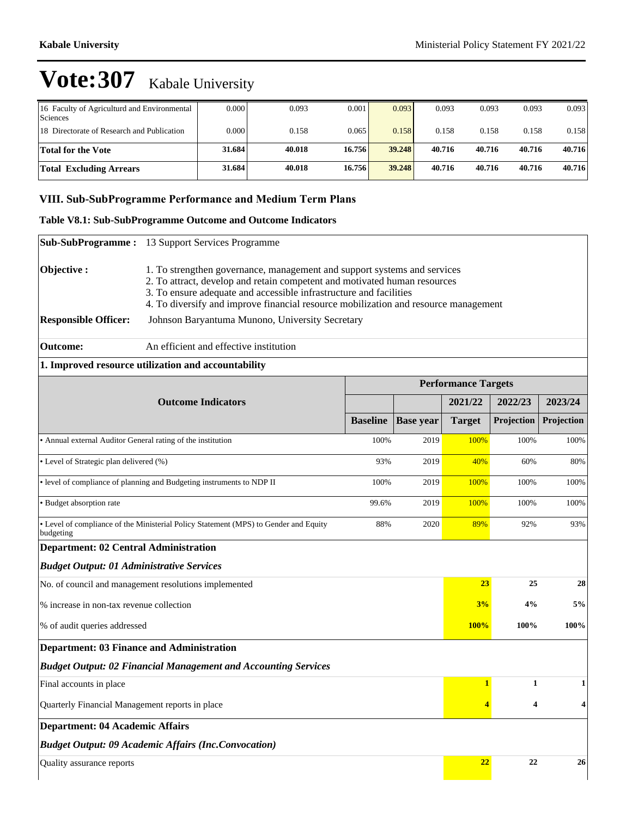| 16 Faculty of Agriculturd and Environmental<br>Sciences | 0.000  | 0.093  | 0.001  | 0.093  | 0.093  | 0.093  | 0.093  | 0.093  |
|---------------------------------------------------------|--------|--------|--------|--------|--------|--------|--------|--------|
| 18 Directorate of Research and Publication              | 0.000  | 0.158  | 0.065  | 0.158  | 0.158  | 0.158  | 0.158  | 0.158  |
| <b>Total for the Vote</b>                               | 31.684 | 40.018 | 16.756 | 39.248 | 40.716 | 40.716 | 40.716 | 40.716 |
| <b>Total Excluding Arrears</b>                          | 31.684 | 40.018 | 16.756 | 39.248 | 40.716 | 40.716 | 40.716 | 40.716 |

## VIII. Sub-SubProgramme Performance and Medium Term Plans

### **Table V8.1: Sub-SubProgramme Outcome and Outcome Indicators**

| <b>Sub-SubProgramme:</b>                                    | 13 Support Services Programme                                                                                                                                                                                                                                                                                      |                 |                  |                            |              |            |
|-------------------------------------------------------------|--------------------------------------------------------------------------------------------------------------------------------------------------------------------------------------------------------------------------------------------------------------------------------------------------------------------|-----------------|------------------|----------------------------|--------------|------------|
| Objective:                                                  | 1. To strengthen governance, management and support systems and services<br>2. To attract, develop and retain competent and motivated human resources<br>3. To ensure adequate and accessible infrastructure and facilities<br>4. To diversify and improve financial resource mobilization and resource management |                 |                  |                            |              |            |
| <b>Responsible Officer:</b>                                 | Johnson Baryantuma Munono, University Secretary                                                                                                                                                                                                                                                                    |                 |                  |                            |              |            |
| <b>Outcome:</b>                                             | An efficient and effective institution                                                                                                                                                                                                                                                                             |                 |                  |                            |              |            |
|                                                             | 1. Improved resource utilization and accountability                                                                                                                                                                                                                                                                |                 |                  |                            |              |            |
|                                                             |                                                                                                                                                                                                                                                                                                                    |                 |                  | <b>Performance Targets</b> |              |            |
|                                                             | <b>Outcome Indicators</b>                                                                                                                                                                                                                                                                                          |                 |                  | 2021/22                    | 2022/23      | 2023/24    |
|                                                             |                                                                                                                                                                                                                                                                                                                    | <b>Baseline</b> | <b>Base year</b> | <b>Target</b>              | Projection   | Projection |
| • Annual external Auditor General rating of the institution |                                                                                                                                                                                                                                                                                                                    | 100%            | 2019             | 100%                       | 100%         | 100%       |
| • Level of Strategic plan delivered (%)                     |                                                                                                                                                                                                                                                                                                                    | 93%             | 2019             | 40%                        | 60%          | 80%        |
|                                                             | · level of compliance of planning and Budgeting instruments to NDP II                                                                                                                                                                                                                                              | 100%            | 2019             | 100%                       | 100%         | 100%       |
| · Budget absorption rate                                    |                                                                                                                                                                                                                                                                                                                    | 99.6%           | 2019             | 100%                       | 100%         | 100%       |
| budgeting                                                   | • Level of compliance of the Ministerial Policy Statement (MPS) to Gender and Equity                                                                                                                                                                                                                               | 88%             | 2020             | 89%                        | 92%          | 93%        |
| <b>Department: 02 Central Administration</b>                |                                                                                                                                                                                                                                                                                                                    |                 |                  |                            |              |            |
| <b>Budget Output: 01 Administrative Services</b>            |                                                                                                                                                                                                                                                                                                                    |                 |                  |                            |              |            |
|                                                             | No. of council and management resolutions implemented                                                                                                                                                                                                                                                              |                 |                  | 23                         | 25           | 28         |
| % increase in non-tax revenue collection                    |                                                                                                                                                                                                                                                                                                                    |                 |                  | 3%                         | 4%           | 5%         |
| % of audit queries addressed                                |                                                                                                                                                                                                                                                                                                                    |                 |                  | 100%                       | 100%         | 100%       |
| <b>Department: 03 Finance and Administration</b>            |                                                                                                                                                                                                                                                                                                                    |                 |                  |                            |              |            |
|                                                             | <b>Budget Output: 02 Financial Management and Accounting Services</b>                                                                                                                                                                                                                                              |                 |                  |                            |              |            |
| Final accounts in place                                     |                                                                                                                                                                                                                                                                                                                    |                 |                  | $\mathbf{1}$               | $\mathbf{1}$ | 1          |
| Quarterly Financial Management reports in place             |                                                                                                                                                                                                                                                                                                                    |                 |                  | 4                          | 4            | 4          |
| <b>Department: 04 Academic Affairs</b>                      |                                                                                                                                                                                                                                                                                                                    |                 |                  |                            |              |            |
|                                                             | <b>Budget Output: 09 Academic Affairs (Inc.Convocation)</b>                                                                                                                                                                                                                                                        |                 |                  |                            |              |            |
| Quality assurance reports                                   |                                                                                                                                                                                                                                                                                                                    |                 |                  | 22                         | 22           | 26         |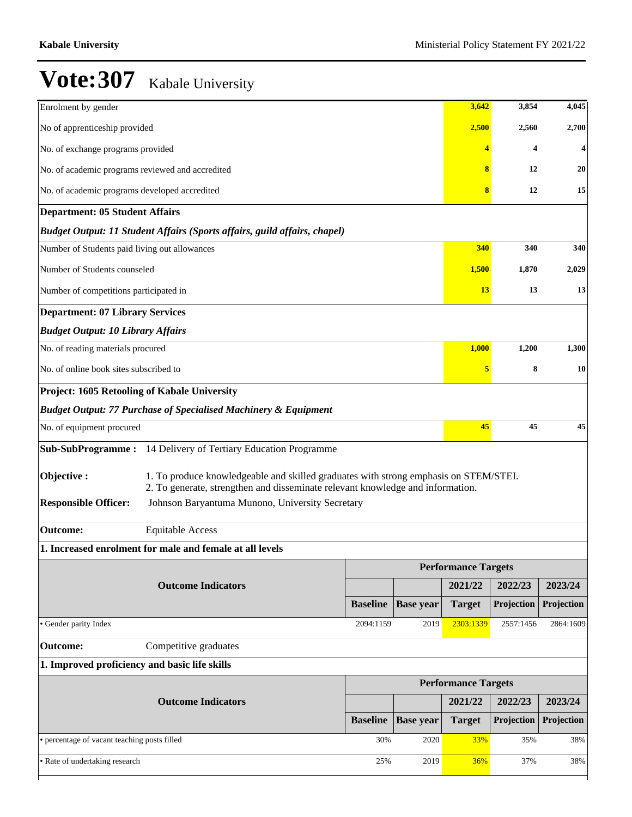| Enrolment by gender                              |                                                                                                                                                                        |                 |                  | 3,642                      | 3,854                   | 4,045      |
|--------------------------------------------------|------------------------------------------------------------------------------------------------------------------------------------------------------------------------|-----------------|------------------|----------------------------|-------------------------|------------|
| No of apprenticeship provided                    |                                                                                                                                                                        |                 |                  | 2,500                      | 2,560                   | 2,700      |
| No. of exchange programs provided                |                                                                                                                                                                        |                 |                  |                            | $\overline{\mathbf{4}}$ | 4          |
| No. of academic programs reviewed and accredited |                                                                                                                                                                        |                 |                  | 8                          | 12                      | 20         |
| No. of academic programs developed accredited    |                                                                                                                                                                        |                 |                  | 8                          | 12                      | 15         |
| <b>Department: 05 Student Affairs</b>            |                                                                                                                                                                        |                 |                  |                            |                         |            |
|                                                  | Budget Output: 11 Student Affairs (Sports affairs, guild affairs, chapel)                                                                                              |                 |                  |                            |                         |            |
| Number of Students paid living out allowances    |                                                                                                                                                                        |                 |                  | 340                        | 340                     | 340        |
| Number of Students counseled                     |                                                                                                                                                                        |                 |                  | 1,500                      | 1,870                   | 2,029      |
| Number of competitions participated in           |                                                                                                                                                                        |                 |                  | 13                         | 13                      | 13         |
| <b>Department: 07 Library Services</b>           |                                                                                                                                                                        |                 |                  |                            |                         |            |
| <b>Budget Output: 10 Library Affairs</b>         |                                                                                                                                                                        |                 |                  |                            |                         |            |
| No. of reading materials procured                |                                                                                                                                                                        |                 |                  | 1,000                      | 1,200                   | 1,300      |
| No. of online book sites subscribed to           |                                                                                                                                                                        |                 |                  | 5                          | 8                       | 10         |
| Project: 1605 Retooling of Kabale University     |                                                                                                                                                                        |                 |                  |                            |                         |            |
|                                                  | <b>Budget Output: 77 Purchase of Specialised Machinery &amp; Equipment</b>                                                                                             |                 |                  |                            |                         |            |
| No. of equipment procured                        |                                                                                                                                                                        |                 |                  | 45                         | 45                      | 45         |
|                                                  | Sub-SubProgramme: 14 Delivery of Tertiary Education Programme                                                                                                          |                 |                  |                            |                         |            |
| Objective:                                       | 1. To produce knowledgeable and skilled graduates with strong emphasis on STEM/STEI.<br>2. To generate, strengthen and disseminate relevant knowledge and information. |                 |                  |                            |                         |            |
| <b>Responsible Officer:</b>                      | Johnson Baryantuma Munono, University Secretary                                                                                                                        |                 |                  |                            |                         |            |
| <b>Outcome:</b>                                  | <b>Equitable Access</b>                                                                                                                                                |                 |                  |                            |                         |            |
|                                                  | 1. Increased enrolment for male and female at all levels                                                                                                               |                 |                  |                            |                         |            |
|                                                  |                                                                                                                                                                        |                 |                  | <b>Performance Targets</b> |                         |            |
|                                                  | <b>Outcome Indicators</b>                                                                                                                                              |                 |                  | 2021/22                    | 2022/23                 | 2023/24    |
|                                                  |                                                                                                                                                                        | <b>Baseline</b> | <b>Base year</b> | <b>Target</b>              | Projection              | Projection |
| · Gender parity Index                            |                                                                                                                                                                        | 2094:1159       | 2019             | 2303:1339                  | 2557:1456               | 2864:1609  |
| <b>Outcome:</b>                                  | Competitive graduates                                                                                                                                                  |                 |                  |                            |                         |            |
| 1. Improved proficiency and basic life skills    |                                                                                                                                                                        |                 |                  |                            |                         |            |
|                                                  |                                                                                                                                                                        |                 |                  | <b>Performance Targets</b> |                         |            |
|                                                  | <b>Outcome Indicators</b>                                                                                                                                              |                 |                  | 2021/22                    | 2022/23                 | 2023/24    |
|                                                  |                                                                                                                                                                        | <b>Baseline</b> | <b>Base year</b> | <b>Target</b>              | Projection              | Projection |
| • percentage of vacant teaching posts filled     |                                                                                                                                                                        | 30%             | 2020             | 33%                        | 35%                     | 38%        |
| • Rate of undertaking research                   |                                                                                                                                                                        | 25%             | 2019             | 36%                        | 37%                     | 38%        |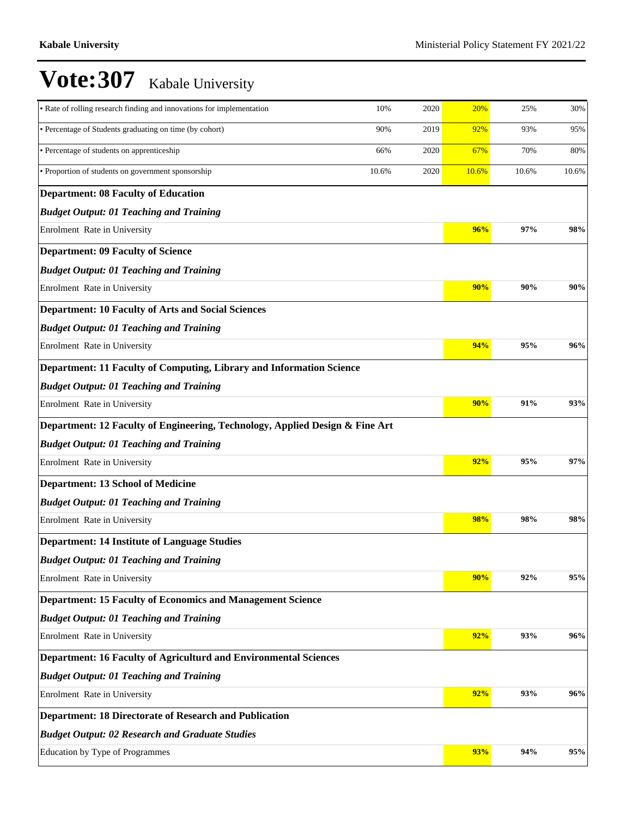| • Rate of rolling research finding and innovations for implementation        | 10%   | 2020 | 20%   | 25%   | 30%   |
|------------------------------------------------------------------------------|-------|------|-------|-------|-------|
| • Percentage of Students graduating on time (by cohort)                      | 90%   | 2019 | 92%   | 93%   | 95%   |
| • Percentage of students on apprenticeship                                   | 66%   | 2020 | 67%   | 70%   | 80%   |
| • Proportion of students on government sponsorship                           | 10.6% | 2020 | 10.6% | 10.6% | 10.6% |
| <b>Department: 08 Faculty of Education</b>                                   |       |      |       |       |       |
| <b>Budget Output: 01 Teaching and Training</b>                               |       |      |       |       |       |
| Enrolment Rate in University                                                 |       |      | 96%   | 97%   | 98%   |
| <b>Department: 09 Faculty of Science</b>                                     |       |      |       |       |       |
| <b>Budget Output: 01 Teaching and Training</b>                               |       |      |       |       |       |
| Enrolment Rate in University                                                 |       |      | 90%   | 90%   | 90%   |
| <b>Department: 10 Faculty of Arts and Social Sciences</b>                    |       |      |       |       |       |
| <b>Budget Output: 01 Teaching and Training</b>                               |       |      |       |       |       |
| Enrolment Rate in University                                                 |       |      | 94%   | 95%   | 96%   |
| Department: 11 Faculty of Computing, Library and Information Science         |       |      |       |       |       |
| <b>Budget Output: 01 Teaching and Training</b>                               |       |      |       |       |       |
| Enrolment Rate in University                                                 |       |      | 90%   | 91%   | 93%   |
| Department: 12 Faculty of Engineering, Technology, Applied Design & Fine Art |       |      |       |       |       |
| <b>Budget Output: 01 Teaching and Training</b>                               |       |      |       |       |       |
| Enrolment Rate in University                                                 |       |      | 92%   | 95%   | 97%   |
| <b>Department: 13 School of Medicine</b>                                     |       |      |       |       |       |
| <b>Budget Output: 01 Teaching and Training</b>                               |       |      |       |       |       |
| Enrolment Rate in University                                                 |       |      | 98%   | 98%   | 98%   |
| <b>Department: 14 Institute of Language Studies</b>                          |       |      |       |       |       |
| <b>Budget Output: 01 Teaching and Training</b>                               |       |      |       |       |       |
| Enrolment Rate in University                                                 |       |      | 90%   | 92%   | 95%   |
| <b>Department: 15 Faculty of Economics and Management Science</b>            |       |      |       |       |       |
| <b>Budget Output: 01 Teaching and Training</b>                               |       |      |       |       |       |
| Enrolment Rate in University                                                 |       |      | 92%   | 93%   | 96%   |
| Department: 16 Faculty of Agriculturd and Environmental Sciences             |       |      |       |       |       |
| <b>Budget Output: 01 Teaching and Training</b>                               |       |      |       |       |       |
| Enrolment Rate in University                                                 |       |      | 92%   | 93%   | 96%   |
| <b>Department: 18 Directorate of Research and Publication</b>                |       |      |       |       |       |
| <b>Budget Output: 02 Research and Graduate Studies</b>                       |       |      |       |       |       |
| Education by Type of Programmes                                              |       |      | 93%   | 94%   | 95%   |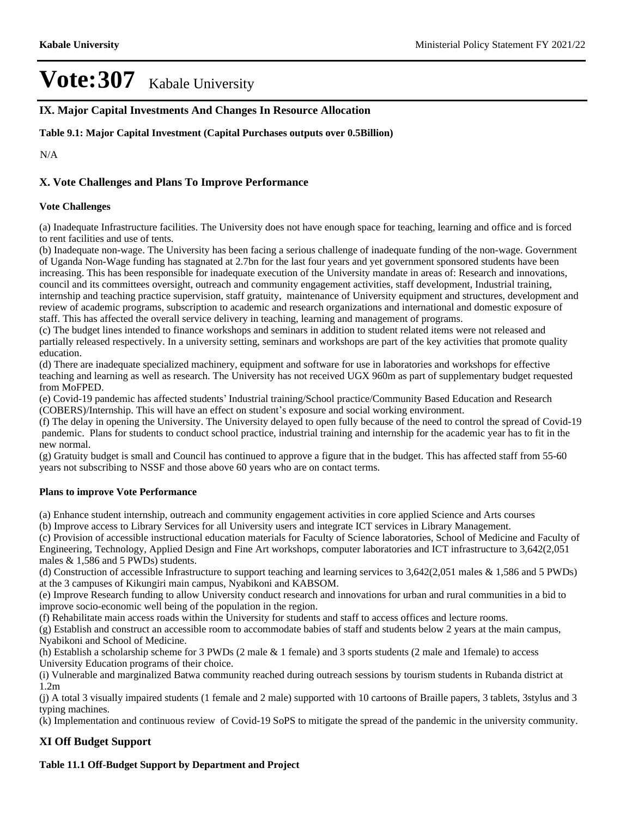**IX. Major Capital Investments And Changes In Resource Allocation**

**Table 9.1: Major Capital Investment (Capital Purchases outputs over 0.5Billion)**

N/A

## **X. Vote Challenges and Plans To Improve Performance**

#### **Vote Challenges**

(a) Inadequate Infrastructure facilities. The University does not have enough space for teaching, learning and office and is forced to rent facilities and use of tents.

(b) Inadequate non-wage. The University has been facing a serious challenge of inadequate funding of the non-wage. Government of Uganda Non-Wage funding has stagnated at 2.7bn for the last four years and yet government sponsored students have been increasing. This has been responsible for inadequate execution of the University mandate in areas of: Research and innovations, council and its committees oversight, outreach and community engagement activities, staff development, Industrial training, internship and teaching practice supervision, staff gratuity, maintenance of University equipment and structures, development and review of academic programs, subscription to academic and research organizations and international and domestic exposure of staff. This has affected the overall service delivery in teaching, learning and management of programs.

(c) The budget lines intended to finance workshops and seminars in addition to student related items were not released and partially released respectively. In a university setting, seminars and workshops are part of the key activities that promote quality education.

(d) There are inadequate specialized machinery, equipment and software for use in laboratories and workshops for effective teaching and learning as well as research. The University has not received UGX 960m as part of supplementary budget requested from MoFPED.

(e) Covid-19 pandemic has affected students' Industrial training/School practice/Community Based Education and Research (COBERS)/Internship. This will have an effect on student's exposure and social working environment.

(f) The delay in opening the University. The University delayed to open fully because of the need to control the spread of Covid-19 pandemic. Plans for students to conduct school practice, industrial training and internship for the academic year has to fit in the new normal.

(g) Gratuity budget is small and Council has continued to approve a figure that in the budget. This has affected staff from 55-60 years not subscribing to NSSF and those above 60 years who are on contact terms.

#### **Plans to improve Vote Performance**

(a) Enhance student internship, outreach and community engagement activities in core applied Science and Arts courses (b) Improve access to Library Services for all University users and integrate ICT services in Library Management.

(c) Provision of accessible instructional education materials for Faculty of Science laboratories, School of Medicine and Faculty of Engineering, Technology, Applied Design and Fine Art workshops, computer laboratories and ICT infrastructure to 3,642(2,051 males & 1,586 and 5 PWDs) students.

(d) Construction of accessible Infrastructure to support teaching and learning services to 3,642(2,051 males & 1,586 and 5 PWDs) at the 3 campuses of Kikungiri main campus, Nyabikoni and KABSOM.

(e) Improve Research funding to allow University conduct research and innovations for urban and rural communities in a bid to improve socio-economic well being of the population in the region.

(f) Rehabilitate main access roads within the University for students and staff to access offices and lecture rooms.

(g) Establish and construct an accessible room to accommodate babies of staff and students below 2 years at the main campus, Nyabikoni and School of Medicine.

(h) Establish a scholarship scheme for 3 PWDs (2 male & 1 female) and 3 sports students (2 male and 1female) to access University Education programs of their choice.

(i) Vulnerable and marginalized Batwa community reached during outreach sessions by tourism students in Rubanda district at 1.2m

(j) A total 3 visually impaired students (1 female and 2 male) supported with 10 cartoons of Braille papers, 3 tablets, 3stylus and 3 typing machines.

(k) Implementation and continuous review of Covid-19 SoPS to mitigate the spread of the pandemic in the university community.

## **XI Off Budget Support**

**Table 11.1 Off-Budget Support by Department and Project**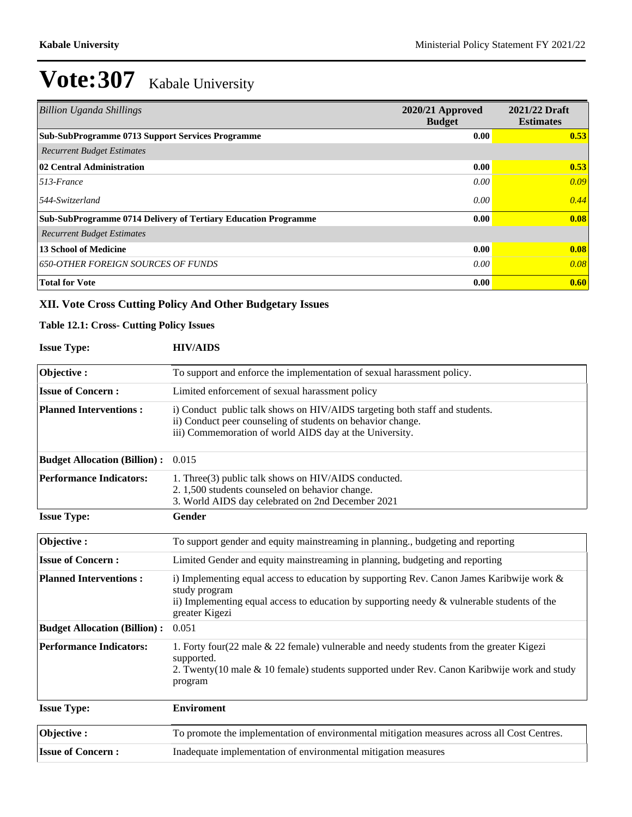| <b>Billion Uganda Shillings</b>                                | 2020/21 Approved<br><b>Budget</b> | 2021/22 Draft<br><b>Estimates</b> |
|----------------------------------------------------------------|-----------------------------------|-----------------------------------|
| Sub-SubProgramme 0713 Support Services Programme               | 0.00                              | 0.53                              |
| <b>Recurrent Budget Estimates</b>                              |                                   |                                   |
| 02 Central Administration                                      | 0.00                              | 0.53                              |
| $513$ -France                                                  | 0.00                              | 0.09                              |
| $544$ -Switzerland                                             | 0.00                              | 0.44                              |
| Sub-SubProgramme 0714 Delivery of Tertiary Education Programme | 0.00                              | 0.08                              |
| <b>Recurrent Budget Estimates</b>                              |                                   |                                   |
| <b>13 School of Medicine</b>                                   | 0.00                              | 0.08                              |
| <b>650-OTHER FOREIGN SOURCES OF FUNDS</b>                      | 0.00                              | 0.08                              |
| <b>Total for Vote</b>                                          | 0.00                              | 0.60                              |

# **XII. Vote Cross Cutting Policy And Other Budgetary Issues**

#### **Table 12.1: Cross- Cutting Policy Issues**

| <b>Issue Type:</b>                  | <b>HIV/AIDS</b>                                                                                                                                                                                                                       |
|-------------------------------------|---------------------------------------------------------------------------------------------------------------------------------------------------------------------------------------------------------------------------------------|
| Objective:                          | To support and enforce the implementation of sexual harassment policy.                                                                                                                                                                |
| <b>Issue of Concern:</b>            | Limited enforcement of sexual harassment policy                                                                                                                                                                                       |
| <b>Planned Interventions:</b>       | i) Conduct public talk shows on HIV/AIDS targeting both staff and students.<br>ii) Conduct peer counseling of students on behavior change.<br>iii) Commemoration of world AIDS day at the University.                                 |
| <b>Budget Allocation (Billion):</b> | 0.015                                                                                                                                                                                                                                 |
| <b>Performance Indicators:</b>      | 1. Three(3) public talk shows on HIV/AIDS conducted.<br>2. 1,500 students counseled on behavior change.<br>3. World AIDS day celebrated on 2nd December 2021                                                                          |
| <b>Issue Type:</b>                  | <b>Gender</b>                                                                                                                                                                                                                         |
| Objective:                          | To support gender and equity mainstreaming in planning., budgeting and reporting                                                                                                                                                      |
| <b>Issue of Concern:</b>            | Limited Gender and equity mainstreaming in planning, budgeting and reporting                                                                                                                                                          |
| <b>Planned Interventions:</b>       | i) Implementing equal access to education by supporting Rev. Canon James Karibwije work $\&$<br>study program<br>ii) Implementing equal access to education by supporting needy $\&$ vulnerable students of the<br>greater Kigezi     |
| <b>Budget Allocation (Billion):</b> | 0.051                                                                                                                                                                                                                                 |
| <b>Performance Indicators:</b>      | 1. Forty four $(22 \text{ male } \& 22 \text{ female})$ vulnerable and needy students from the greater Kigezi<br>supported.<br>2. Twenty(10 male & 10 female) students supported under Rev. Canon Karibwije work and study<br>program |
| <b>Issue Type:</b>                  | <b>Enviroment</b>                                                                                                                                                                                                                     |
| Objective:                          | To promote the implementation of environmental mitigation measures across all Cost Centres.                                                                                                                                           |
| <b>Issue of Concern:</b>            | Inadequate implementation of environmental mitigation measures                                                                                                                                                                        |